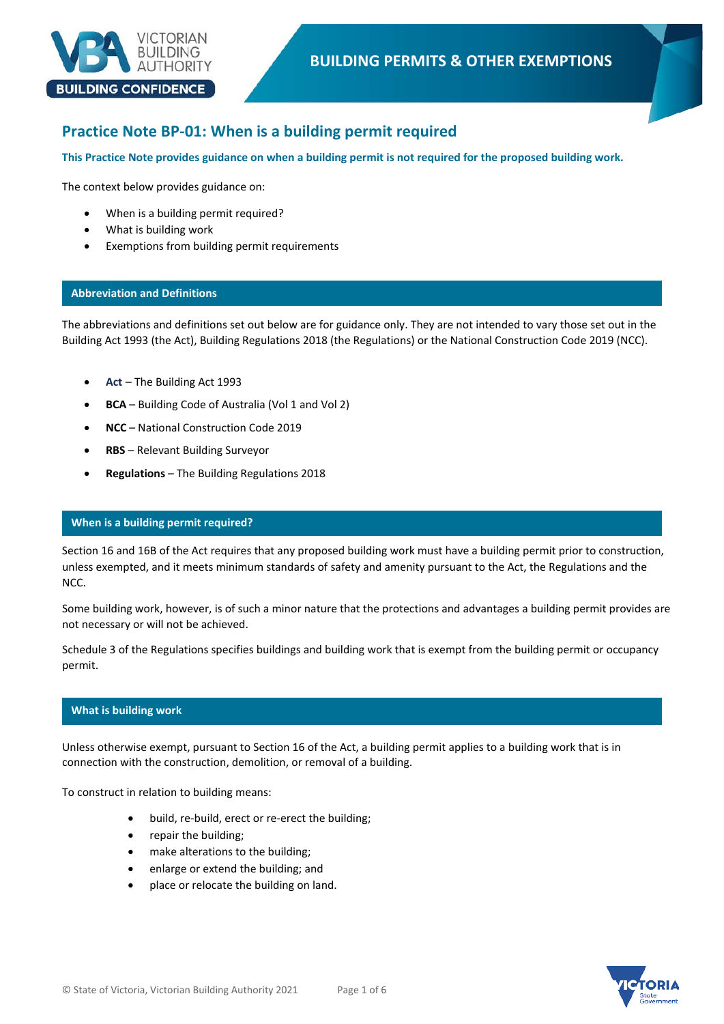

# **Practice Note BP-01: When is a building permit required**

**This Practice Note provides guidance on when a building permit is not required for the proposed building work.**

The context below provides guidance on:

- When is a building permit required?
- What is building work
- Exemptions from building permit requirements

### **Abbreviation and Definitions**

The abbreviations and definitions set out below are for guidance only. They are not intended to vary those set out in the Building Act 1993 (the Act), Building Regulations 2018 (the Regulations) or the National Construction Code 2019 (NCC).

- **Act** The Building Act 1993
- **BCA** Building Code of Australia (Vol 1 and Vol 2)
- **NCC** National Construction Code 2019
- **RBS** Relevant Building Surveyor
- **Regulations** The Building Regulations 2018

### **When is a building permit required?**

Section 16 and 16B of the Act requires that any proposed building work must have a building permit prior to construction, unless exempted, and it meets minimum standards of safety and amenity pursuant to the Act, the Regulations and the NCC.

Some building work, however, is of such a minor nature that the protections and advantages a building permit provides are not necessary or will not be achieved.

Schedule 3 of the Regulations specifies buildings and building work that is exempt from the building permit or occupancy permit.

# **What is building work**

Unless otherwise exempt, pursuant to Section 16 of the Act, a building permit applies to a building work that is in connection with the construction, demolition, or removal of a building.

To construct in relation to building means:

- build, re-build, erect or re-erect the building;
- repair the building;
- make alterations to the building;
- enlarge or extend the building; and
- place or relocate the building on land.

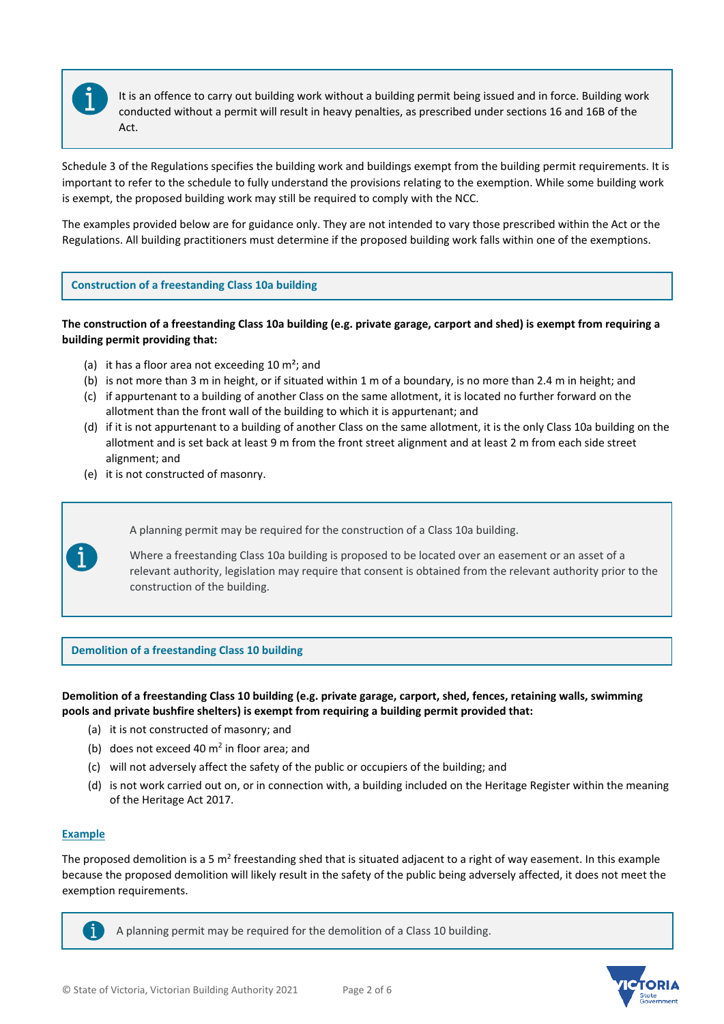

**Exemptions from the requirement of a building permit** It is an offence to carry out building work without a building permit being issued and in force. Building work conducted without a permit will result in heavy penalties, as prescribed under sections 16 and 16B of the Act.

Schedule 3 of the Regulations specifies the building work and buildings exempt from the building permit requirements. It is important to refer to the schedule to fully understand the provisions relating to the exemption. While some building work is exempt, the proposed building work may still be required to comply with the NCC.

The examples provided below are for guidance only. They are not intended to vary those prescribed within the Act or the Regulations. All building practitioners must determine if the proposed building work falls within one of the exemptions.

# **Construction of a freestanding Class 10a building**

# **The construction of a freestanding Class 10a building (e.g. private garage, carport and shed) is exempt from requiring a building permit providing that:**

- (a) it has a floor area not exceeding  $10 \text{ m}^2$ ; and
- (b) is not more than 3 m in height, or if situated within 1 m of a boundary, is no more than 2.4 m in height; and
- (c) if appurtenant to a building of another Class on the same allotment, it is located no further forward on the allotment than the front wall of the building to which it is appurtenant; and
- (d) if it is not appurtenant to a building of another Class on the same allotment, it is the only Class 10a building on the allotment and is set back at least 9 m from the front street alignment and at least 2 m from each side street alignment; and
- (e) it is not constructed of masonry.

A planning permit may be required for the construction of a Class 10a building.

Where a freestanding Class 10a building is proposed to be located over an easement or an asset of a relevant authority, legislation may require that consent is obtained from the relevant authority prior to the construction of the building.

# **Demolition of a freestanding Class 10 building**

**Demolition of a freestanding Class 10 building (e.g. private garage, carport, shed, fences, retaining walls, swimming pools and private bushfire shelters) is exempt from requiring a building permit provided that:**

- (a) it is not constructed of masonry; and
- (b) does not exceed 40  $m<sup>2</sup>$  in floor area; and
- (c) will not adversely affect the safety of the public or occupiers of the building; and
- (d) is not work carried out on, or in connection with, a building included on the Heritage Register within the meaning of the Heritage Act 2017.

# **Example**

Ť.

The proposed demolition is a 5 m<sup>2</sup> freestanding shed that is situated adjacent to a right of way easement. In this example because the proposed demolition will likely result in the safety of the public being adversely affected, it does not meet the exemption requirements.

A planning permit may be required for the demolition of a Class 10 building.

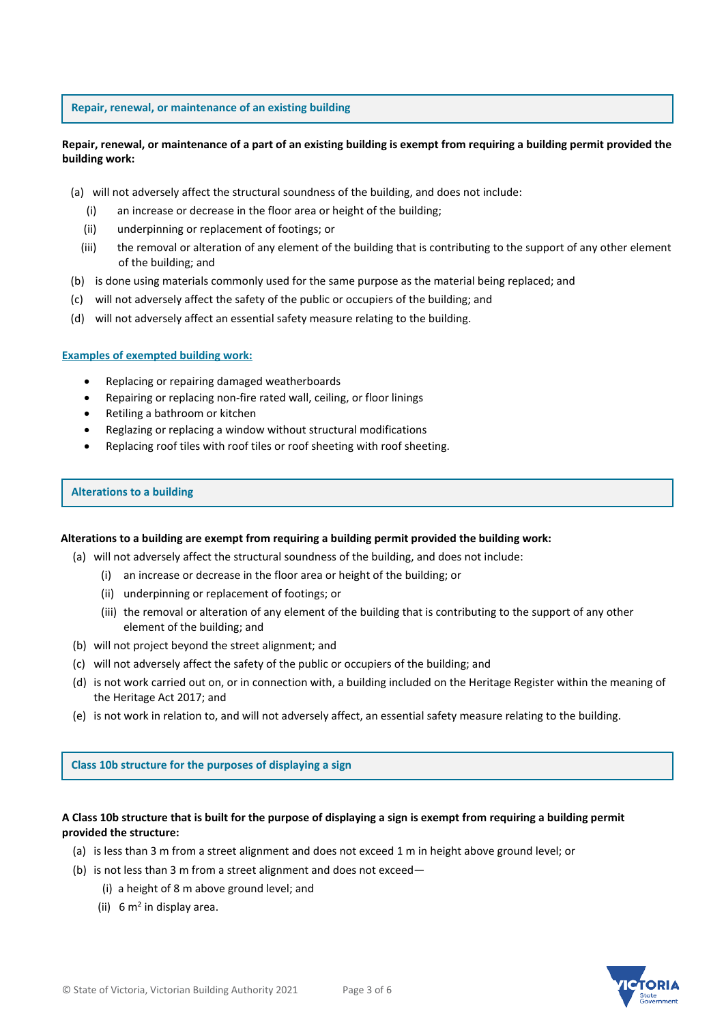**Repair, renewal, or maintenance of an existing building** 

# **Repair, renewal, or maintenance of a part of an existing building is exempt from requiring a building permit provided the building work:**

- (a) will not adversely affect the structural soundness of the building, and does not include:
	- (i) an increase or decrease in the floor area or height of the building;
	- (ii) underpinning or replacement of footings; or
	- (iii) the removal or alteration of any element of the building that is contributing to the support of any other element of the building; and
- (b) is done using materials commonly used for the same purpose as the material being replaced; and
- (c) will not adversely affect the safety of the public or occupiers of the building; and
- (d) will not adversely affect an essential safety measure relating to the building.

### **Examples of exempted building work:**

- Replacing or repairing damaged weatherboards
- Repairing or replacing non-fire rated wall, ceiling, or floor linings
- Retiling a bathroom or kitchen
- Reglazing or replacing a window without structural modifications
- Replacing roof tiles with roof tiles or roof sheeting with roof sheeting.

### **Alterations to a building**

### **Alterations to a building are exempt from requiring a building permit provided the building work:**

- (a) will not adversely affect the structural soundness of the building, and does not include:
	- (i) an increase or decrease in the floor area or height of the building; or
	- (ii) underpinning or replacement of footings; or
	- (iii) the removal or alteration of any element of the building that is contributing to the support of any other element of the building; and
- (b) will not project beyond the street alignment; and
- (c) will not adversely affect the safety of the public or occupiers of the building; and
- (d) is not work carried out on, or in connection with, a building included on the Heritage Register within the meaning of the Heritage Act 2017; and
- (e) is not work in relation to, and will not adversely affect, an essential safety measure relating to the building.

**Class 10b structure for the purposes of displaying a sign** 

# **A Class 10b structure that is built for the purpose of displaying a sign is exempt from requiring a building permit provided the structure:**

- (a) is less than 3 m from a street alignment and does not exceed 1 m in height above ground level; or
- (b) is not less than 3 m from a street alignment and does not exceed—
	- (i) a height of 8 m above ground level; and
	- (ii)  $6 \text{ m}^2$  in display area.

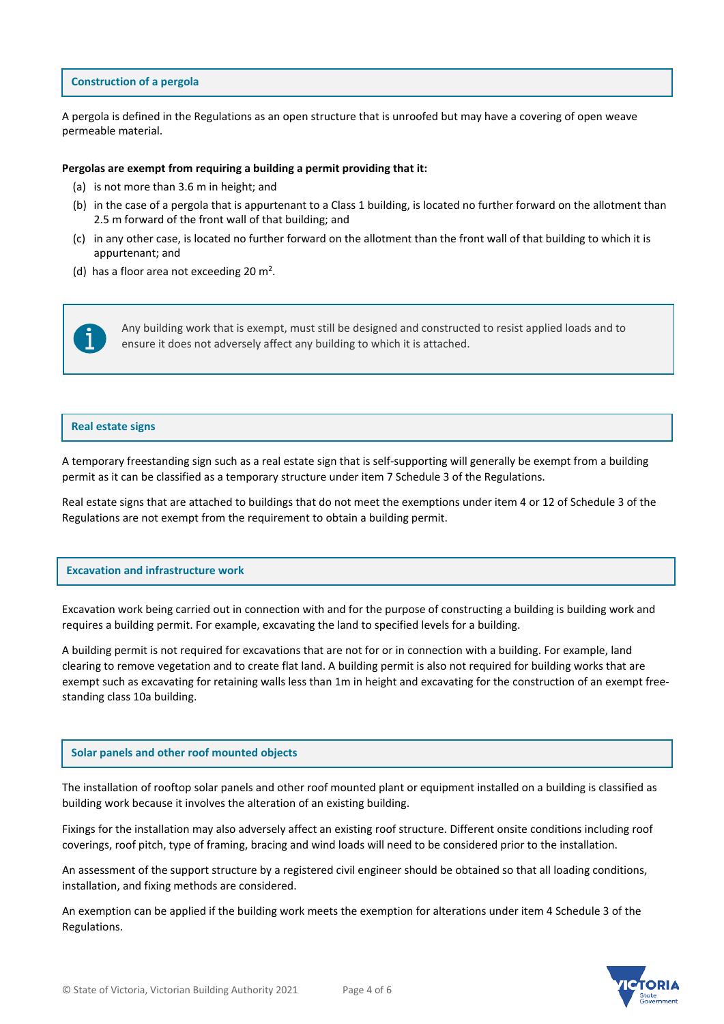#### **Construction of a pergola**

A pergola is defined in the Regulations as an open structure that is unroofed but may have a covering of open weave permeable material.

#### **Pergolas are exempt from requiring a building a permit providing that it:**

- (a) is not more than 3.6 m in height; and
- (b) in the case of a pergola that is appurtenant to a Class 1 building, is located no further forward on the allotment than 2.5 m forward of the front wall of that building; and
- (c) in any other case, is located no further forward on the allotment than the front wall of that building to which it is appurtenant; and
- (d) has a floor area not exceeding 20  $m^2$ .



Any building work that is exempt, must still be designed and constructed to resist applied loads and to ensure it does not adversely affect any building to which it is attached.

#### **Real estate signs**

A temporary freestanding sign such as a real estate sign that is self-supporting will generally be exempt from a building permit as it can be classified as a temporary structure under item 7 Schedule 3 of the Regulations.

Real estate signs that are attached to buildings that do not meet the exemptions under item 4 or 12 of Schedule 3 of the Regulations are not exempt from the requirement to obtain a building permit.

#### **Excavation and infrastructure work**

Excavation work being carried out in connection with and for the purpose of constructing a building is building work and requires a building permit. For example, excavating the land to specified levels for a building.

A building permit is not required for excavations that are not for or in connection with a building. For example, land clearing to remove vegetation and to create flat land. A building permit is also not required for building works that are exempt such as excavating for retaining walls less than 1m in height and excavating for the construction of an exempt freestanding class 10a building.

#### **Solar panels and other roof mounted objects**

The installation of rooftop solar panels and other roof mounted plant or equipment installed on a building is classified as building work because it involves the alteration of an existing building.

Fixings for the installation may also adversely affect an existing roof structure. Different onsite conditions including roof coverings, roof pitch, type of framing, bracing and wind loads will need to be considered prior to the installation.

An assessment of the support structure by a registered civil engineer should be obtained so that all loading conditions, installation, and fixing methods are considered.

An exemption can be applied if the building work meets the exemption for alterations under item 4 Schedule 3 of the Regulations.

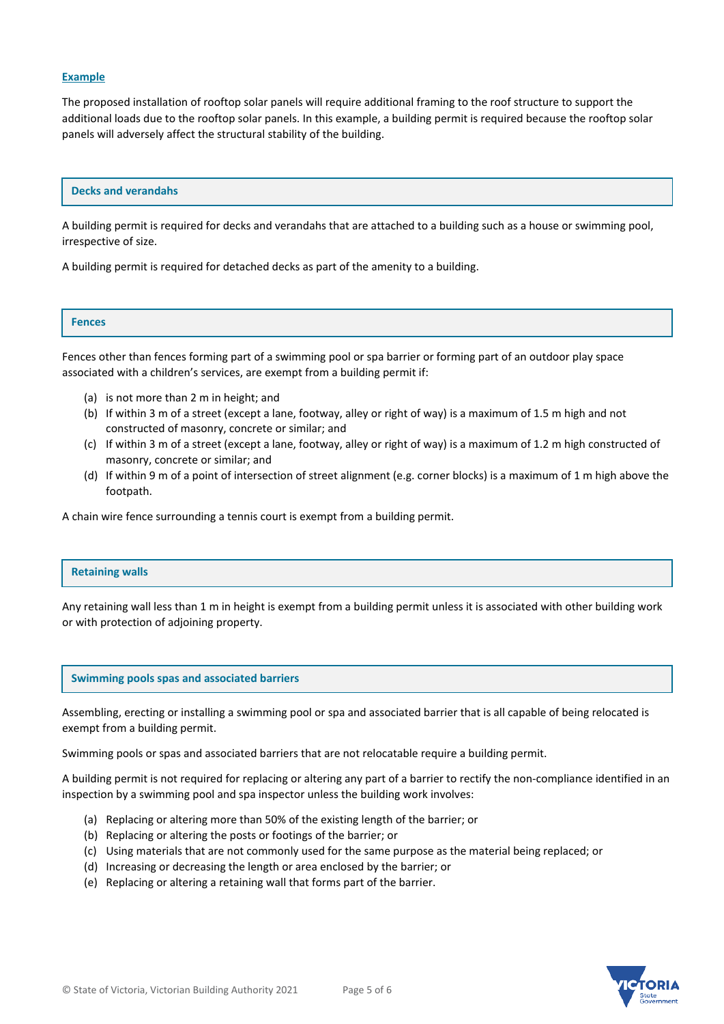### **Example**

The proposed installation of rooftop solar panels will require additional framing to the roof structure to support the additional loads due to the rooftop solar panels. In this example, a building permit is required because the rooftop solar panels will adversely affect the structural stability of the building.

#### **Decks and verandahs**

A building permit is required for decks and verandahs that are attached to a building such as a house or swimming pool, irrespective of size.

A building permit is required for detached decks as part of the amenity to a building.

#### **Fences**

Fences other than fences forming part of a swimming pool or spa barrier or forming part of an outdoor play space associated with a children's services, are exempt from a building permit if:

- (a) is not more than 2 m in height; and
- (b) If within 3 m of a street (except a lane, footway, alley or right of way) is a maximum of 1.5 m high and not constructed of masonry, concrete or similar; and
- (c) If within 3 m of a street (except a lane, footway, alley or right of way) is a maximum of 1.2 m high constructed of masonry, concrete or similar; and
- (d) If within 9 m of a point of intersection of street alignment (e.g. corner blocks) is a maximum of 1 m high above the footpath.

A chain wire fence surrounding a tennis court is exempt from a building permit.

#### **Retaining walls**

Any retaining wall less than 1 m in height is exempt from a building permit unless it is associated with other building work or with protection of adjoining property.

### **Swimming pools spas and associated barriers**

Assembling, erecting or installing a swimming pool or spa and associated barrier that is all capable of being relocated is exempt from a building permit.

Swimming pools or spas and associated barriers that are not relocatable require a building permit.

A building permit is not required for replacing or altering any part of a barrier to rectify the non-compliance identified in an inspection by a swimming pool and spa inspector unless the building work involves:

- (a) Replacing or altering more than 50% of the existing length of the barrier; or
- (b) Replacing or altering the posts or footings of the barrier; or
- (c) Using materials that are not commonly used for the same purpose as the material being replaced; or
- (d) Increasing or decreasing the length or area enclosed by the barrier; or
- (e) Replacing or altering a retaining wall that forms part of the barrier.